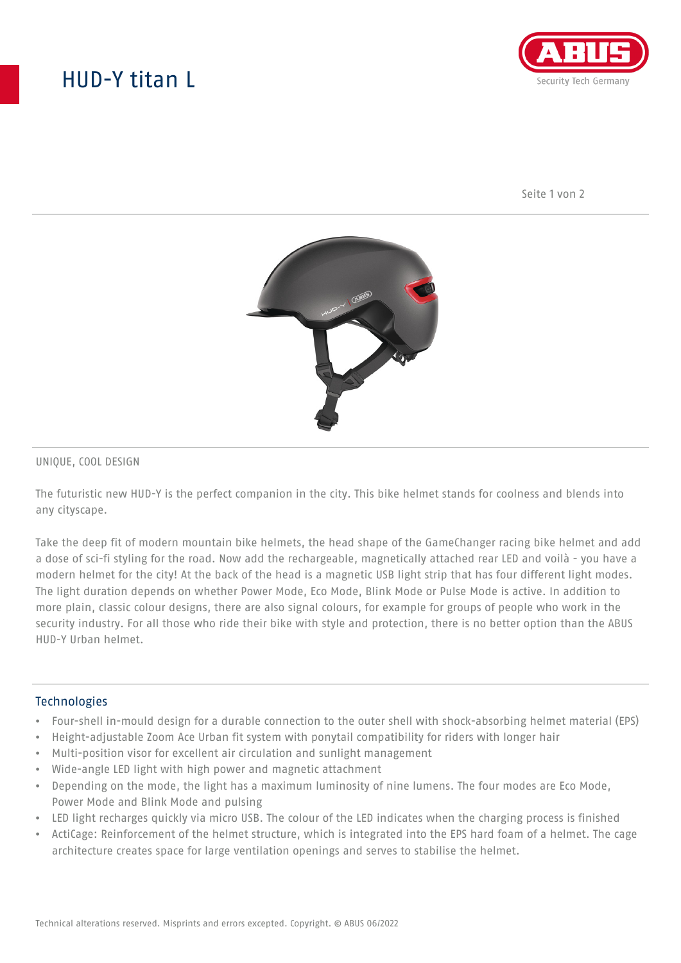# HUD-Y titan L



Seite 1 von 2



#### UNIQUE, COOL DESIGN

The futuristic new HUD-Y is the perfect companion in the city. This bike helmet stands for coolness and blends into any cityscape.

Take the deep fit of modern mountain bike helmets, the head shape of the GameChanger racing bike helmet and add a dose of sci-fi styling for the road. Now add the rechargeable, magnetically attached rear LED and voilà - you have a modern helmet for the city! At the back of the head is a magnetic USB light strip that has four different light modes. The light duration depends on whether Power Mode, Eco Mode, Blink Mode or Pulse Mode is active. In addition to more plain, classic colour designs, there are also signal colours, for example for groups of people who work in the security industry. For all those who ride their bike with style and protection, there is no better option than the ABUS HUD-Y Urban helmet.

#### **Technologies**

- Four-shell in-mould design for a durable connection to the outer shell with shock-absorbing helmet material (EPS)
- Height-adjustable Zoom Ace Urban fit system with ponytail compatibility for riders with longer hair
- Multi-position visor for excellent air circulation and sunlight management
- Wide-angle LED light with high power and magnetic attachment
- Depending on the mode, the light has a maximum luminosity of nine lumens. The four modes are Eco Mode, Power Mode and Blink Mode and pulsing
- LED light recharges quickly via micro USB. The colour of the LED indicates when the charging process is finished
- ActiCage: Reinforcement of the helmet structure, which is integrated into the EPS hard foam of a helmet. The cage architecture creates space for large ventilation openings and serves to stabilise the helmet.